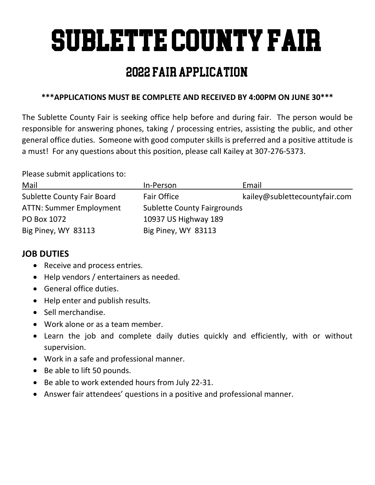# Sublette County Fair

## 2022 Fair Application

## **\*\*\*APPLICATIONS MUST BE COMPLETE AND RECEIVED BY 4:00PM ON JUNE 30\*\*\***

The Sublette County Fair is seeking office help before and during fair. The person would be responsible for answering phones, taking / processing entries, assisting the public, and other general office duties. Someone with good computer skills is preferred and a positive attitude is a must! For any questions about this position, please call Kailey at 307-276-5373.

Please submit applications to:

| Mail                              | In-Person                          | Email                         |
|-----------------------------------|------------------------------------|-------------------------------|
| <b>Sublette County Fair Board</b> | <b>Fair Office</b>                 | kailey@sublettecountyfair.com |
| <b>ATTN: Summer Employment</b>    | <b>Sublette County Fairgrounds</b> |                               |
| PO Box 1072                       | 10937 US Highway 189               |                               |
| Big Piney, WY 83113               | Big Piney, WY 83113                |                               |

## **JOB DUTIES**

- Receive and process entries.
- Help vendors / entertainers as needed.
- General office duties.
- Help enter and publish results.
- Sell merchandise.
- Work alone or as a team member.
- Learn the job and complete daily duties quickly and efficiently, with or without supervision.
- Work in a safe and professional manner.
- Be able to lift 50 pounds.
- Be able to work extended hours from July 22-31.
- Answer fair attendees' questions in a positive and professional manner.